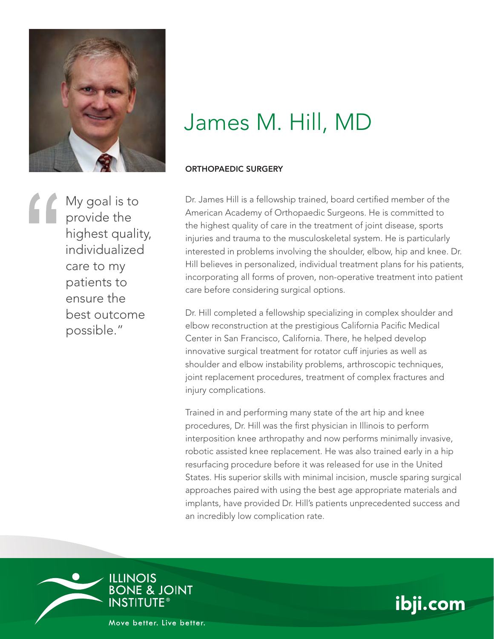

My goal is to provide the highest quality, individualized care to my patients to ensure the best outcome possible."

## James M. Hill, MD

## ORTHOPAEDIC SURGERY

Dr. James Hill is a fellowship trained, board certified member of the American Academy of Orthopaedic Surgeons. He is committed to the highest quality of care in the treatment of joint disease, sports injuries and trauma to the musculoskeletal system. He is particularly interested in problems involving the shoulder, elbow, hip and knee. Dr. Hill believes in personalized, individual treatment plans for his patients, incorporating all forms of proven, non-operative treatment into patient care before considering surgical options.

Dr. Hill completed a fellowship specializing in complex shoulder and elbow reconstruction at the prestigious California Pacific Medical Center in San Francisco, California. There, he helped develop innovative surgical treatment for rotator cuff injuries as well as shoulder and elbow instability problems, arthroscopic techniques, joint replacement procedures, treatment of complex fractures and injury complications.

Trained in and performing many state of the art hip and knee procedures, Dr. Hill was the first physician in Illinois to perform interposition knee arthropathy and now performs minimally invasive, robotic assisted knee replacement. He was also trained early in a hip resurfacing procedure before it was released for use in the United States. His superior skills with minimal incision, muscle sparing surgical approaches paired with using the best age appropriate materials and implants, have provided Dr. Hill's patients unprecedented success and an incredibly low complication rate.





Move better, Live better,